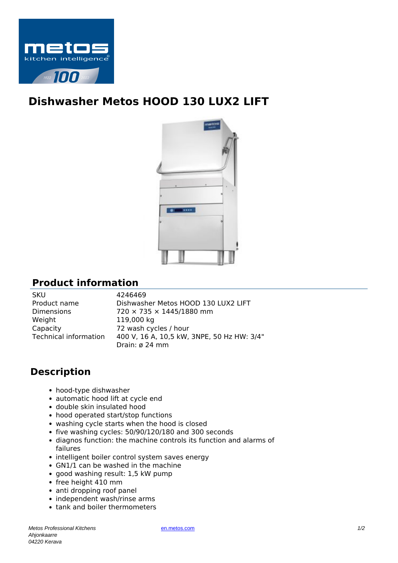

## **Dishwasher Metos HOOD 130 LUX2 LIFT**



## **Product information**

SKU 4246469 Weight 119,000 kg Capacity 72 wash cycles / hour

Product name Dishwasher Metos HOOD 130 LUX2 LIFT Dimensions 720 × 735 × 1445/1880 mm Technical information 400 V, 16 A, 10,5 kW, 3NPE, 50 Hz HW: 3/4" Drain: ø 24 mm

## **Description**

- hood-type dishwasher
- automatic hood lift at cycle end
- double skin insulated hood
- hood operated start/stop functions
- washing cycle starts when the hood is closed
- five washing cycles: 50/90/120/180 and 300 seconds
- diagnos function: the machine controls its function and alarms of failures
- intelligent boiler control system saves energy
- GN1/1 can be washed in the machine
- good washing result: 1,5 kW pump
- free height 410 mm
- anti dropping roof panel
- independent wash/rinse arms
- tank and boiler thermometers